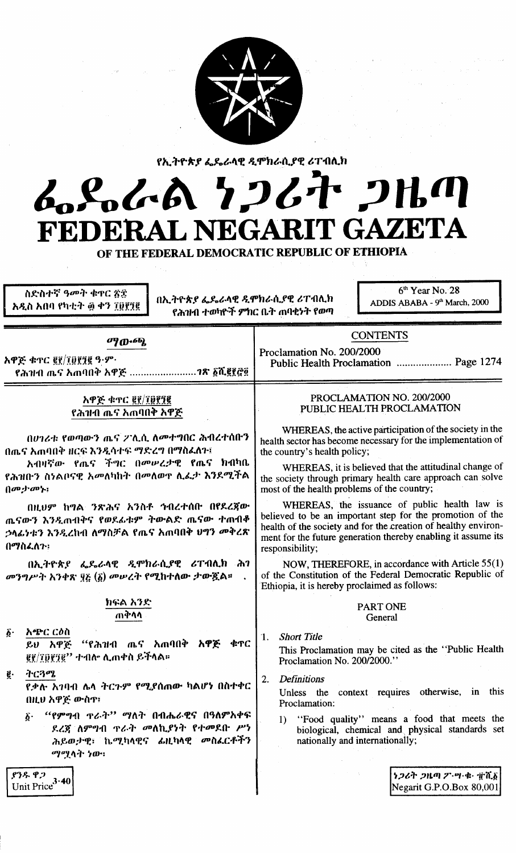

# የኢትዮጵያ ፌዴራላዊ ዲሞክራሲያዊ ሪፐብሊክ んとんん クフムヤ フルの **RIT GAZETA** FEDERAL NEGA

OF THE FEDERAL DEMOCRATIC REPUBLIC OF ETHIOPIA

ስድስተኛ ዓመት ቁዋር ጽድ አዲስ አበባ የካቲት ፴ ቀን ፲፱፻፺፪

በኢትዮጵያ ፌዴራላዊ ዲሞክራሲያዊ ሪፐብሊክ የሕዝብ ተወካዮች ምክር ቤት ጠባቂነት የወጣ

 $6<sup>th</sup>$  Year No. 28 ADDIS ABABA - 9th March, 2000

| ማውጫ                                                                                                                                                                                                                                  | <b>CONTENTS</b>                                                                                                                                                                                                                                                                                                                |  |  |
|--------------------------------------------------------------------------------------------------------------------------------------------------------------------------------------------------------------------------------------|--------------------------------------------------------------------------------------------------------------------------------------------------------------------------------------------------------------------------------------------------------------------------------------------------------------------------------|--|--|
| አዋጅ ቁጥር ፪፻/፲፬፻፺፪ ዓ.ም.<br>የሕዝብ ጤና አጠባበቅ አዋጅ ?ጽ ፩ሺ፪፻፸፬                                                                                                                                                                                 | Proclamation No. 200/2000<br>Public Health Proclamation  Page 1274                                                                                                                                                                                                                                                             |  |  |
| አዋጅ ቁጥር ፪፻/፲፱፻፺፪<br>የሕዝብ ጤና አጠባበቅ አዋጅ                                                                                                                                                                                                | PROCLAMATION NO. 200/2000<br>PUBLIC HEALTH PROCLAMATION                                                                                                                                                                                                                                                                        |  |  |
| በሀገሪቱ የወጣውን ጤና ፖሊሲ ለመተግበር ሕብረተሰቡን<br>በጤና አጠባበቅ ዘርፍ እንዲሳተፍ ማድረግ በማስፈለጉ፤<br>አብዛኛው የጤና ችግር በመሠረታዊ የጤና ክብካቤ<br>የሕዝቡን ስነልቦናዊ አመለካከት በመለወዋ ሊፌታ እንደሚችል<br>$\left(\left\{a^{\mathbf{p}},\cdots,\left\{a^{\mathbf{p}}\right\}\right\}\right)$ | WHEREAS, the active participation of the society in the<br>health sector has become necessary for the implementation of<br>the country's health policy;<br>WHEREAS, it is believed that the attitudinal change of<br>the society through primary health care approach can solve<br>most of the health problems of the country; |  |  |
| በዚህም ከግል ንጽሕና አንስቶ ኅብረተሰቡ በየደረጀው<br>ጨናውን እንዲጠብቅና የወደፊቱም ትውልድ ጤናው ተጠብቆ<br><i>ኃ</i> ላፊነቱን እንዲረከብ ለማስቻል የጤና አጠባበቅ ህግን መቅረጽ<br>በማስፈለጉ፡                                                                                                   | WHEREAS, the issuance of public health law is<br>believed to be an important step for the promotion of the<br>health of the society and for the creation of healthy environ-<br>ment for the future generation thereby enabling it assume its<br>responsibility;                                                               |  |  |
| በኢትዮጵያ ፌዴራላዊ ዲሞክራሲያዊ ሪፐብሊክ ሕገ<br>መንግሥት አንቀጽ ፶፩ (፩) መሠረት የሚከተለው ታውጇል።                                                                                                                                                                 | NOW, THEREFORE, in accordance with Article 55(1)<br>of the Constitution of the Federal Democratic Republic of<br>Ethiopia, it is hereby proclaimed as follows:                                                                                                                                                                 |  |  |
| ክፍል አንድ<br>ጠቅሳሳ                                                                                                                                                                                                                      | <b>PART ONE</b><br>General                                                                                                                                                                                                                                                                                                     |  |  |
| አጭር ርዕስ<br>$\boldsymbol{\delta}$ .<br>ይህ አዋጅ "የሕዝብ ጤና አጠባበቅ አዋጅ ቁጥር<br>gg/፲፬፻፺፪'' ተብሎ ሊጠቀስ ይችላል።                                                                                                                                     | <b>Short Title</b><br>1.<br>This Proclamation may be cited as the "Public Health<br>Proclamation No. 200/2000."                                                                                                                                                                                                                |  |  |
| ትርጓሜ<br>ĝ.<br>የቃሉ አገባብ ሴሳ ትርጉም የሚያሰጠው ካልሆነ በስተቀር<br>በዚህ አዋጅ ውስዋ፤                                                                                                                                                                     | <b>Definitions</b><br>2.<br>Unless the context requires otherwise,<br>this<br>1 n<br>Proclamation:                                                                                                                                                                                                                             |  |  |
| <i>"የምግ</i> ብ <b>ዋራት" ማለት በብሔራዊና በዓለም</b> አቀፍ<br>$\hat{\delta}$ .<br>ደረጀ ለምግብ ዋራት መለኪያነት የተመደቡ ሥነ<br>ሕይወታዊ፣ ኬሚካላዊና ፊዚካላዊ መስፌርቶችን<br>ማሚላት ነው።                                                                                         | "Food quality" means a food that meets the<br>1)<br>biological, chemical and physical standards set<br>nationally and internationally;                                                                                                                                                                                         |  |  |
| ያንዱ ዋጋ<br>3.40<br>Unit Price                                                                                                                                                                                                         | ነ <i>ጋሪት ጋ</i> ዜጣ ፖ·ሣ·ቁ· ፹ሺ፩ <br>Negarit G.P.O.Box 80.001                                                                                                                                                                                                                                                                      |  |  |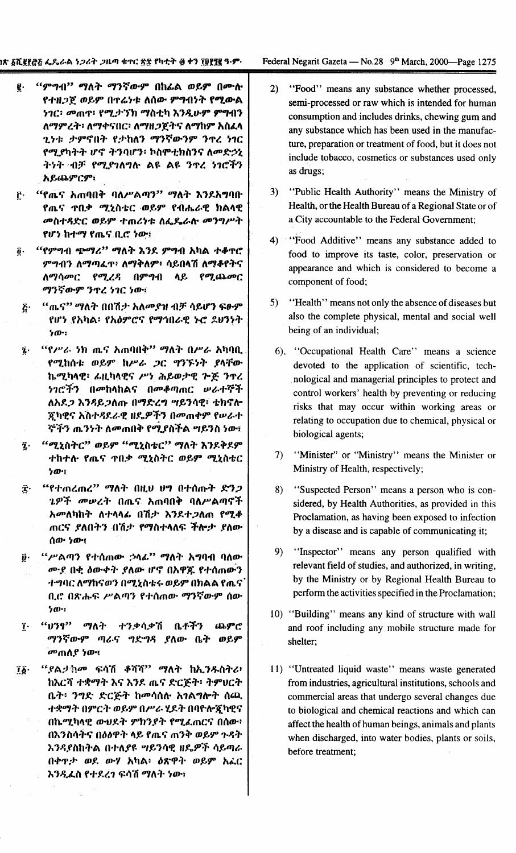- "ምግብ" ማለት ማንኛውም በከፊል ወይም በሙሉ  $\vec{e}$  . የተዘጋጀ ወይም በተሬነቱ ለሰው ምግብነት የሚውል ነገር፡ መጠዋ፥ የሚታኘክ ማስቲካ እንዲሁም **ምግ**ብን ለማምረት፡ ለማቀናበር፡ ለማዘጋጀትና ለማከም አስፈላ ጊነቱ ታምኖበት የታከለን ማንኛውንም ን**ዋረ** ነገር የሚያካትት ሆኖ ትንባሆን፥ ኮስሞቲክስንና ለመድኃኒ ትነት ብቻ የሚያገለግሉ ልዩ ልዩ ንጥረ ነገሮችን አይጨምርም፣
- "የጤና አጠባበቅ ባለሥልጣን" ማለት እንደአግባቡ ŕ. የጤና ጥበቃ ሚኒስቴር ወይም የብሔራዊ ክልላዊ መስተዳድር ወይም ተጠሪነቱ ለፌዴራሉ መንግሥት የሆነ ከተማ የጤና ቢሮ ነው፣
- "የምግብ ጭማሪ" ማለት እንደ ምግብ አካል ተቆዋሮ õ. ምግብን ለማጣፌዋ፥ ለማቅለም፥ ሳይበላሽ ለማቆየትና ለማሳመር የሚረዳ በምግብ ሳይ የማጨመር ማንኛውም ንዋረ ነገር ነው፣
- "ጤና" ማለት በበሽታ አለመያዝ ብቻ ሳይሆን ፍፁም  $\boldsymbol{\tilde{c}}$ . የሆነ የአካል፡ የአልምሮና የማኅበራዊ ኑሮ ዶሀንነት  $50 - 1$
- *"የሥራ ነ*ክ ጤና አጠባበቅ" ማለት በሥራ አካባቢ  $\overline{2}$ . የሚከሰቱ ወይም ከሥራ *ጋ*ር ግንኙነት ያላቸው ኬሚካላዊ፥ ፊዚካላዊና ሥነ ሕይወታዊ ጕጅ ንኖረ *ነገሮችን በመ*ከላከልና በመቆጣጠር ሥራተኞች ለአደ*ጋ* እንዳይ*ጋ*ለጡ በማድረግ **ሣይንሳዊ**፥ ቴክኖሎ ጆካዊና አስተዳደራዊ ዘዴዎችን በመጠቀም የሠራተ ኞችን ጤንነት ለመጠበቅ የሚያስችል **ሣይንስ ነው**፣
- "ሚኒስትር" ወይም "ሚኒስቴር" ማለት እንደቅደም  $\overline{\mathbf{z}}$ . ተከተሉ የጤና ተበቃ ሚኒስትር ወይም ሚኒስቴር  $5m$
- "የተጠረጠረ" ማለት በዚህ ህግ በተሰጡት ድንጋ Ĵ٠ ጌዎች መሠረት በጤና አጠባበቅ ባለሥልጣኖች አመለካከት ለተላላፊ በሽታ እንደተጋለጠ የሚቆ ጠርና *ያ*ለበትን በሽታ የማስተላለፍ ችሎታ ያለው ሰው ነው።
- *"ሥ*ልጣን የተሰጠው *;*ንላፊ" ማለት አግባብ ባለው  $\vec{y}$ . ሙያ በቂ ዕውቀት ያለው ሆኖ በአዋጁ የተሰጠውን ተግባር ለማከናወን በሚኒስቴሩ ወይም በክልል የጤና ቢሮ በጽሑፍ ሥልጣን የተሰጠው ማንኛውም ሰው ነው።
- "ህንፃ" ማለት ተንቃሳቃሽ ቤቶችን  $\mathbf{\hat{i}}$ . ጨምሮ ማንኛውም ጣራና ግድግዳ ያለው ቤት ወይም **መጠሲያ ነው።**
- "ያልታክም ፍሳሽ ቆሻሻ" ማለት ከኢንዱስትሪ፥  $\mathbf{i}\mathbf{\hat{b}}$ ከእርሻ ተቋማት እና እንደ ጨና ድርጅት፥ ትምህርት ቤት፡ ንግድ ድርጅት ከመሳሰሉ አገልግሎት ሰጪ ተቋማት በምርት ወይም በሥራ ሂደት በባዮሎጇካዊና በኬሚካላዊ ውህዶት ምክንያት የሚፈጠርና በሰው፥ በእንስሳትና በዕፅዋት ላይ የጨና ጠንቅ ወይም ጉዳት እንዳያስከትል በተለያዩ ሣይንሳዊ ዘዴዎች ሳይጣራ በቀዋታ ወደ ውሃ አካል፡ ዕጽዋት ወይም አፌር እንዲፌስ የተደረገ ፍሳሽ ማለት ነው፣
- $2)$ "Food" means any substance whether processed, semi-processed or raw which is intended for human consumption and includes drinks, chewing gum and any substance which has been used in the manufacture, preparation or treatment of food, but it does not include tobacco, cosmetics or substances used only as drugs;
- "Public Health Authority" means the Ministry of  $3)$ Health, or the Health Bureau of a Regional State or of a City accountable to the Federal Government;
- "Food Additive" means any substance added to  $4)$ food to improve its taste, color, preservation or appearance and which is considered to become a component of food;
- $5)$ "Health" means not only the absence of diseases but also the complete physical, mental and social well being of an individual:
- 6). "Occupational Health Care" means a science devoted to the application of scientific, technological and managerial principles to protect and control workers' health by preventing or reducing risks that may occur within working areas or relating to occupation due to chemical, physical or biological agents;
- "Minister" or "Ministry" means the Minister or  $\mathcal{D}$ Ministry of Health, respectively;
- "Suspected Person" means a person who is con-8) sidered, by Health Authorities, as provided in this Proclamation, as having been exposed to infection by a disease and is capable of communicating it;
- $9)$ "Inspector" means any person qualified with relevant field of studies, and authorized, in writing, by the Ministry or by Regional Health Bureau to perform the activities specified in the Proclamation;
- 10) "Building" means any kind of structure with wall and roof including any mobile structure made for shelter;
- 11) "Untreated liquid waste" means waste generated from industries, agricultural institutions, schools and commercial areas that undergo several changes due to biological and chemical reactions and which can affect the health of human beings, animals and plants when discharged, into water bodies, plants or soils, before treatment: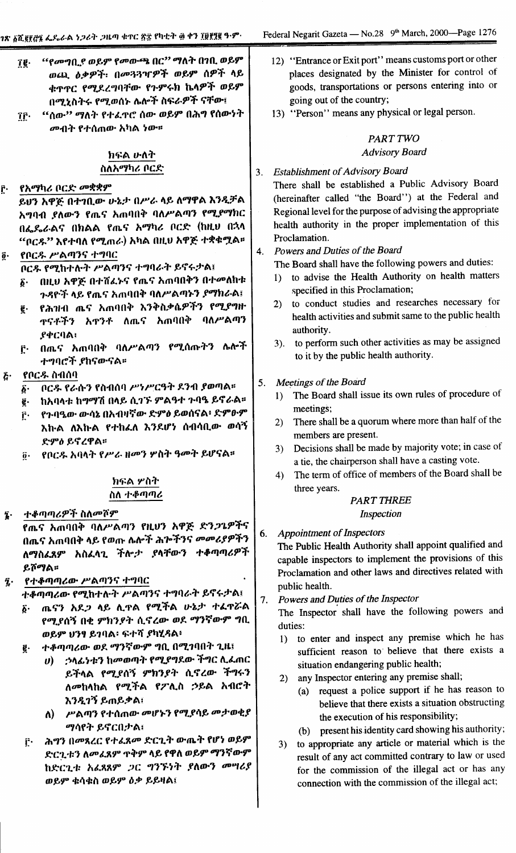connection with the commission of the illegal act;

|                           | "የመግቢያ ወይም የመውጫ በር" ማለት በንቢ ወይም<br>Îĝ∙<br>ወጪ ዕቃዎች፡ በመጓጓዣዎች ወይም ሰዎች ላይ<br>ቁጥጥር የሚደረግባቸው የጉምሩክ ኬላዎች ወይም<br>በሚኒስትሩ የሚወሰኑ ሌሎች ስፍራዎች ናቸው፤<br>"ሰው'' ማለት የተፈ <b>ዋሮ ሰው ወይም በሕ</b> ግ የሰውነት<br>ÎĈ∙<br>መብት የተሰጠው አካል ነው። |                                                         |    | 12) "Entrance or Exit port" means customs port or other<br>places designated by the Minister for control of<br>goods, transportations or persons entering into or<br>going out of the country;<br>13) "Person" means any physical or legal person.<br>PART TWO |
|---------------------------|---------------------------------------------------------------------------------------------------------------------------------------------------------------------------------------------------------------|---------------------------------------------------------|----|----------------------------------------------------------------------------------------------------------------------------------------------------------------------------------------------------------------------------------------------------------------|
|                           | ክፍል ሁለት                                                                                                                                                                                                       |                                                         |    | <b>Advisory Board</b>                                                                                                                                                                                                                                          |
|                           | ስለአማካሪ ቦርድ                                                                                                                                                                                                    |                                                         | 3. | <b>Establishment of Advisory Board</b>                                                                                                                                                                                                                         |
| ŗ.                        | የአማካሪ ቦርድ መቋቋም<br>ይህን አዋጅ በተገቢው ሁኔታ በሥራ ላይ ለማዋል እንዲቻል<br>አግባብ ያለውን የጤና አጠባበቅ ባለሥልጣን የሚያማክር                                                                                                                    |                                                         |    | There shall be established a Public Advisory Board<br>(hereinafter called "the Board") at the Federal and<br>Regional level for the purpose of advising the appropriate                                                                                        |
|                           | በፌዴራልና በክልል የጨና አማካሪ ቦርድ (ከዚህ በኋላ                                                                                                                                                                             |                                                         |    | health authority in the proper implementation of this                                                                                                                                                                                                          |
|                           | "ቦርጹ" እየተባለ የሚጠራ) አካል በዚህ አዋጅ ተቋቁሟል።                                                                                                                                                                          |                                                         |    | Proclamation.                                                                                                                                                                                                                                                  |
| $\overline{\mathbf{0}}$ . | የቦርዱ ሥልጣንና ተግባር                                                                                                                                                                                               |                                                         | 4. | Powers and Duties of the Board                                                                                                                                                                                                                                 |
|                           | ቦርዱ የሚከተሉት ሥልጣንና ተግባራት ይኖሩታል፤<br>በዚህ አዋጅ በተሸፈኑና የጨና አጠባበቅን በተመለከቱ<br>$\hat{\boldsymbol{\varrho}}\cdot$                                                                                                        |                                                         |    | The Board shall have the following powers and duties:<br>to advise the Health Authority on health matters<br>1)<br>specified in this Proclamation;                                                                                                             |
|                           | ጉዳዮች ላይ የጤና አጠባበቅ ባለሥልጣኑን ያማክራል፤<br>የሕዝብ ጨና አጠባበቅ እንቅስቃሴዎችን የሚያግዙ<br>ĝ.<br><b>ዋናቶችን አ</b> ዋንቶ ለጤና አጠባበቅ ባለሥልጣን                                                                                                |                                                         |    | to conduct studies and researches necessary for<br>2)<br>health activities and submit same to the public health<br>authority.                                                                                                                                  |
|                           | <b>ያ</b> ቀርባል፡<br>በጨና አጠባበቅ ባለሥልጣን የሚሰጡትን ሌሎች<br>Ĉ٠<br>ተግባሮች የከናውናል።                                                                                                                                          |                                                         |    | to perform such other activities as may be assigned<br>3).<br>to it by the public health authority.                                                                                                                                                            |
| $\tilde{L}$               | የቦርዱ ስብሰባ                                                                                                                                                                                                     |                                                         |    |                                                                                                                                                                                                                                                                |
|                           | ቦርዱ የራሱን የስብሰባ ሥነሥርዓት ደንብ ያወጣል።<br>$\vec{b}$ .                                                                                                                                                                |                                                         | 5. | Meetings of the Board<br>The Board shall issue its own rules of procedure of                                                                                                                                                                                   |
|                           | ከአባላቱ ከማማሽ በላይ ሲገኙ ምልዓተ ጉባዔ ይኖራል።<br>ĝ.                                                                                                                                                                       |                                                         |    | 1)<br>meetings;                                                                                                                                                                                                                                                |
|                           | የጉባዔው ውሳኔ በአብዛኛው ድምዕ ይወሰናል፥ ድምፁም<br>ŗ٠                                                                                                                                                                        |                                                         |    | 2) There shall be a quorum where more than half of the                                                                                                                                                                                                         |
|                           | እኩል ለእኩል የተከፈለ እንደሆነ ሰብሳቢው ወሳኝ<br>ድምዕ ይኖረዋል።                                                                                                                                                                  |                                                         |    | members are present.<br>Decisions shall be made by majority vote; in case of<br>3)                                                                                                                                                                             |
|                           | የቦርዱ አባላት የሥራ ዘመን ሦስት ዓመት ይሆናል።<br>$\boldsymbol{0}$ .                                                                                                                                                         |                                                         |    | a tie, the chairperson shall have a casting vote.<br>The term of office of members of the Board shall be<br>4)                                                                                                                                                 |
|                           | ክፍል ሦስት<br>ስለ ተቆጣጣሪ                                                                                                                                                                                           |                                                         |    | three years.                                                                                                                                                                                                                                                   |
|                           |                                                                                                                                                                                                               |                                                         |    | <b>PART THREE</b>                                                                                                                                                                                                                                              |
| $\mathbf{\hat{z}}$ .      | ተቆጣጣሪዎች ስለመሾም                                                                                                                                                                                                 |                                                         |    | Inspection                                                                                                                                                                                                                                                     |
|                           | የጤና አጠባበቅ ባለሥልጣን የዚህን አዋጅ ድን <i>ጋጌዎች</i> ና                                                                                                                                                                    |                                                         | 6. | <b>Appointment of Inspectors</b>                                                                                                                                                                                                                               |
|                           | በጤና አጠባበቅ ላይ የወጡ ሴሎች ሕሎችንና መመሪያዎችን                                                                                                                                                                            |                                                         |    | The Public Health Authority shall appoint qualified and                                                                                                                                                                                                        |
|                           | ለማስፈጸም አስፈላጊ ችሎታ ያላቸውን ተቆጣጣሪዎች<br>ይሾማል።                                                                                                                                                                       |                                                         |    | capable inspectors to implement the provisions of this<br>Proclamation and other laws and directives related with                                                                                                                                              |
| $\tilde{\mathbf{z}}$ .    | የተቆጣጣሪው ሥልጣንና ተግባር<br>ተቆጣጣሪው የሚከተሉት ሥልጣንና ተግባራት ይኖሩታል፤                                                                                                                                                        |                                                         |    | public health.                                                                                                                                                                                                                                                 |
|                           | ጤናን አደ <i>ጋ</i> ላይ ሊዋል የሚችል ሁኔታ ተፈዋሯል<br>$\boldsymbol{\delta}$ .<br>የሚያሰኝ በቂ ምክንያት ሲኖረው ወደ ማንኛውም ግቢ                                                                                                           |                                                         | 7. | Powers and Duties of the Inspector<br>The Inspector shall have the following powers and                                                                                                                                                                        |
|                           | ወይም ሀንፃ ይገባል፡ ፍተሻ ያካሂዳል፡                                                                                                                                                                                      |                                                         |    | duties:<br>to enter and inspect any premise which he has<br>1)                                                                                                                                                                                                 |
|                           | ተቆጣጣሪው ወደ ማንኛውም ግቢ በሚገባበት ጊዜ፤<br>ĝ.                                                                                                                                                                           |                                                         |    | sufficient reason to believe that there exists a                                                                                                                                                                                                               |
|                           | $\boldsymbol{\theta}$                                                                                                                                                                                         | <i>;</i> ንላፊንቱን ከመወጣት የሚያግደው ችግር ሊፌጠር                   |    | situation endangering public health;                                                                                                                                                                                                                           |
|                           |                                                                                                                                                                                                               | ይችላል የሚያሰኝ ምክንያት ሲኖረው ችግሩን<br>ለመከላከል የሚችል የፖሊስ ኃይል አብሮት |    | any Inspector entering any premise shall;<br>2)<br>(a) request a police support if he has reason to                                                                                                                                                            |
|                           | እንዲገኝ ይጠይቃል፣<br>ለ) -<br>ማሳየት ይኖርበታል፤                                                                                                                                                                          | ሥልጣን የተሰጠው መሆኑን የሚያሳይ መታወቂያ                             |    | believe that there exists a situation obstructing<br>the execution of his responsibility;                                                                                                                                                                      |
|                           | ሕግን በመጻረር የተፈጸመ ድርጊት ውጤት የሆነ ወይም<br>ŗ٠                                                                                                                                                                        |                                                         |    | present his identity card showing his authority;<br>(b)<br>to appropriate any article or material which is the                                                                                                                                                 |
|                           | ድርጊቱን ለመፈጸም ጥቅም ላይ የዋለ ወይም ማንኛውም                                                                                                                                                                              |                                                         |    | 3)<br>result of any act committed contrary to law or used                                                                                                                                                                                                      |
|                           | ከድርጊቱ አፌጻጸም ጋር ግንኙነት ያለውን መሣሪያ                                                                                                                                                                                |                                                         |    | for the commission of the illegal act or has any                                                                                                                                                                                                               |
|                           | ወይም ቁሳቁስ ወይም ዕቃ ይይዛል፤                                                                                                                                                                                         |                                                         |    | connection with the commission of the illegal act;                                                                                                                                                                                                             |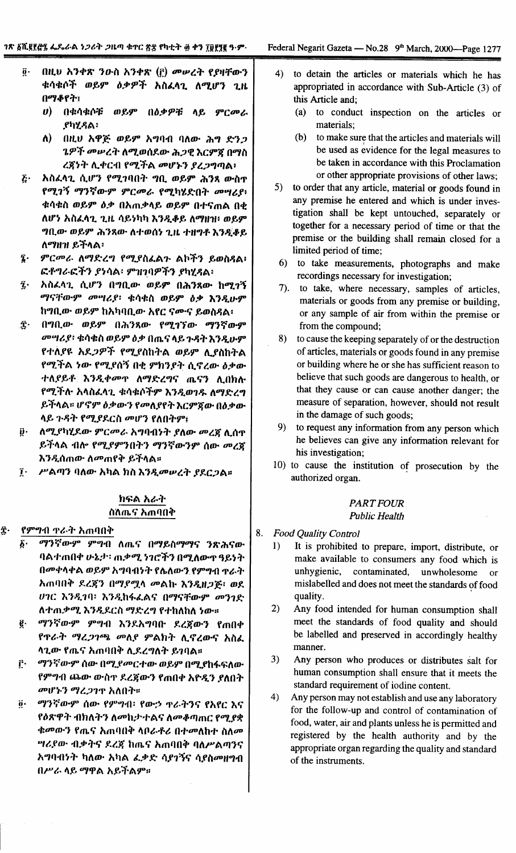- በዚህ አንቀጽ ንውስ አንቀጽ (i) መሠረት የያዛቸውን  $\vec{\bm{\theta}}$  . ቁሳቁሶች ወይም ዕቃዎች አስፈላጊ ለሚሆን ጊዜ በማቆየት፣
	- $\boldsymbol{v}$ በቁሳቁሶቹ ወይም በዕቃዎቹ ላይ ምርመራ *የካሂዳል፡*
	- በዚህ አዋጅ ወይም አግባብ ባለው ሕግ ድንጋ ለ) -ጌዎች መሠረት ለሚወሰደው ሕጋዊ እርምጃ በማስ ረጀነት ሊቀርብ የሚችል መሆኑን ያረጋግጣል፥
- $\mathbf{\tilde{c}}$ አስፈላጊ ሲሆን የሚገባበት ግቢ ወይም ሕንጻ ውስዋ የሚገኝ ማንኛውም ምርመራ የሚካሂድበት መሣሪያ፥ ቁሳቁስ ወይም ዕቃ በአጠቃላይ ወይም በተናጠል በቂ ለሆነ አስፈላጊ ጊዜ ሳይነካካ እንዲቆይ ለማዘዝ፥ ወይም ግቢው ወይም ሕንጻው ለተወሰነ ጊዜ ተዘግቶ እንዲቆይ ለማዘዝ ይችላል፡
- $\hat{\mathbf{z}}$ . ምርመራ ለማድረግ የሚያስፈልጉ ልኮችን ይወስዳል፥ ፎቶግራፎችን ያነሳል፡ ምዝገባዎችን ያካሂዳል፡
- አስፈላጊ ሲሆን በግቢው ወይም በሕንጻው ከሚገኝ ĩ. ማናቸውም መሣሪያ፡ ቁሳቁስ ወይም ዕቃ እንዲሁም ከግቢው ወይም ከአካባቢው አየር ናሙና ይወስዳል፡
- Ϋ́· በግቢው ወይም በሕንጻው የሚገኘው ማንኛውም መሣሪያ፡ ቁሳቁስ ወይም ዕቃ በጤና ላይ ጉዳት እንዲሁም የተለያዩ አደ*ጋዎች የሚያ*ስከትል ወይም ሊያስከትል የሚችል ነው የሚያሰኝ በቂ ምክንያት ሲኖረው ዕቃው ተለያይቶ እንዲቀመዋ ለማድረግና ጤናን ሊበክሉ የሚችሉ አላስፈላጊ ቁሳቁሶችም እንዲወንዱ ለማድረግ ይችላል። ሆኖም ዕቃውን የመለያየት እርምጃው በዕቃው ላይ ጉዳት የሚያደርስ መሆን የለበትም፤
- ለሚያካሂደው ምርመራ አግባብነት ያለው መረጃ ሊሰዋ į٠ ይችላል ብሎ የሚያምንበትን ማንኛውንም ሰው መረጃ እንዲሰጠው ለ**መጠየቅ ይ**ችላል፡፡
- ሥልጣን ባለው አካል ክስ እንዲመሥረት ያደርጋል፡፡  $\mathbf{r}$

### ክፍል አራት ስለጤና አጠባበቅ

#### ĝ. የምግብ ዋራት አጠባበቅ

- $\delta$ . ማንኛውም ምግብ ለጤና በማይስማማና ንጽሕናው ባልተጠበቀ ሁኔታ፡ ጠቃሚ ነገሮችን በሚለውዋ ዓይነት በመቀላቀል ወይም አግባብነት የሌለውን የምግብ ዋራት አጠባበቅ ደረጃን በማያሟላ መልኩ እንዲዘጋጅ፥ ወደ ሀገር እንዲገባ፡ እንዲከፋፌልና በማናቸውም መንገድ ለተጠቃሚ እንዲደርስ ማድረግ የተከለከለ ነው።
- ማንኛውም ምግብ እንደአግባቡ ደረጀውን የጠበቀ ę. የጥራት ማረጋገጫ መለያ ምልክት ሊኖረውና አስፈ ሳጊው የጤና አጠባበቅ ሲደረግለት ይገባል።
- ማንኛውም ሰው በሚያመርተው ወይም በሚያከፋፍለው ŕ٠ የምግብ ጨው ውስዋ ደረጀውን የጠበቀ አዮዲን ያለበት መሆኑን ማረጋገጥ አለበት።
- ማንኛውም ሰው የምግብ፡ የውኃ ዋራትንና የአየር እና  $\ddot{\mathbf{0}}$ . የዕጽዋት ብክለትን ለመከታተልና ለመቆጣጠር የሚያቋ ቁመውን የጤና አጠባበቅ ሳቦራቶሪ በተመለከተ ስለመ *ግሪያው ብቃትና ደረጀ ከጤና አ*ጠባበቅ ባለሥልጣንና አግባብነት ካለው አካል ፌቃድ ሳያገኝና ሳያስመዘግብ በሥራ ላይ ማዋል አይችልም።
- $4)$ to detain the articles or materials which he has appropriated in accordance with Sub-Article (3) of this Article and;
	- $(a)$ to conduct inspection on the articles or materials:
	- $(b)$ to make sure that the articles and materials will be used as evidence for the legal measures to be taken in accordance with this Proclamation or other appropriate provisions of other laws:
- $5)$ to order that any article, material or goods found in any premise he entered and which is under investigation shall be kept untouched, separately or together for a necessary period of time or that the premise or the building shall remain closed for a limited period of time:
- 6) to take measurements, photographs and make recordings necessary for investigation;
- 7). to take, where necessary, samples of articles, materials or goods from any premise or building. or any sample of air from within the premise or from the compound;
- 8) to cause the keeping separately of or the destruction of articles, materials or goods found in any premise or building where he or she has sufficient reason to believe that such goods are dangerous to health, or that they cause or can cause another danger; the measure of separation, however, should not result in the damage of such goods;
- $9)$ to request any information from any person which he believes can give any information relevant for his investigation:
- 10) to cause the institution of prosecution by the authorized organ.

### **PART FOUR Public Health**

- 8. **Food Quality Control** 
	- $1)$ It is prohibited to prepare, import, distribute, or make available to consumers any food which is unhygienic, contaminated, unwholesome  $\alpha$ mislabelled and does not meet the standards of food quality.
	- Any food intended for human consumption shall  $2)$ meet the standards of food quality and should be labelled and preserved in accordingly healthy manner.
	- $3)$ Any person who produces or distributes salt for human consumption shall ensure that it meets the standard requirement of iodine content.
	- Any person may not establish and use any laboratory  $4)$ for the follow-up and control of contamination of food, water, air and plants unless he is permitted and registered by the health authority and by the appropriate organ regarding the quality and standard of the instruments.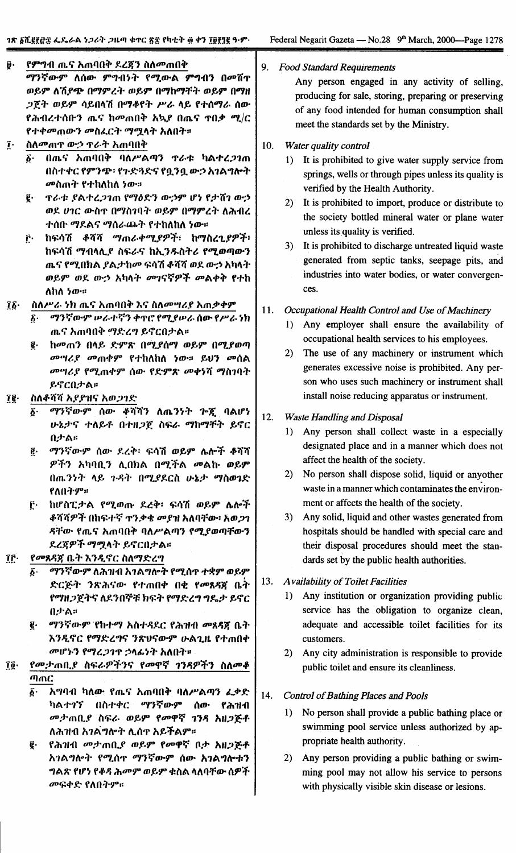#### የምግብ ጤና አጠባበቅ ደረጃን ስለመጠበቅ ij٠ 9. Food Standard Requirements ማንኛውም ለሰው ምግብነት የሚውል ምግብን በመሸዋ Any person engaged in any activity of selling, ወይም ለሽደጭ በማምረት ወይም በማከማቸት ወይም በማዘ producing for sale, storing, preparing or preserving ጋጀት ወይም ሳይበላሽ በማቆየት ሥራ ላይ የተሰማራ ሰው of any food intended for human consumption shall የሕብረተሰቡን ጨና ከመጠበቅ አኳያ በጨና ተበቃ ሚ/ር meet the standards set by the Ministry. የተቀመጠውን መስፈርት ማሚላት አለበት። ስለመጠዋ ውኃ ዋራት አጠባበቅ  $\mathbf{r}$ . Water quality control  $10.$ በጤና አጠባበቅ ባለሥልጣን ዋራቱ ካልተረጋገጠ  $\delta$ . 1) It is prohibited to give water supply service from በስተቀር የምንጭ፡ የጉድጓድና የቧንቧ ውኃ አገልግሎት springs, wells or through pipes unless its quality is *መ*ስጠት የተከለከለ ነው። verified by the Health Authority. ĝ. **ፕራቱ ያልተረጋገጠ የማዕድን ውኃም ሆነ የታሽገ ውኃ** 2) It is prohibited to import, produce or distribute to ወደ ሀገር ውስጥ በማስገባት ወይም በማምረት ለሕብረ the society bottled mineral water or plane water ተሰበ· ማደልና ማሰራጨት የተከለከለ ነው። unless its quality is verified. ከፍሳሽ ቆሻሻ ማጠራቀሚያዎች፣ ከማስረጊያዎች፥ Ĉ۰ 3) It is prohibited to discharge untreated liquid waste ከፍሳሽ ማብላሊያ ስፍራና ከኢንዱስትሪ የሚወጣውን generated from septic tanks, seepage pits, and ጤና የሚበክል ያልታከመ ፍሳሽ ቆሻሻ ወደ ውኃ አካላት industries into water bodies, or water convergen-ወይም ወደ ውኃ አካላት መገናኛዎች መልቀቅ የተከ ces. ለከለ ነው። ስለሥራ ነክ ጤና አጠባበቅ እና ስለመሣሪያ አጠቃቀም  $\vec{16}$ 11. Occupational Health Control and Use of Machinery ማንኛውም ሥራተኛን ቀጥሮ የሚያሥራ ሰው የሥራ ነክ Б. 1) Any employer shall ensure the availability of ጨና አጠባበቅ ማድረግ ይኖርበታል። occupational health services to his employees. ከመጠን በላይ ድምጽ በሚያሰማ ወይም በሚያወጣ ē. The use of any machinery or instrument which  $2)$ መሣሪያ መጠቀም የተከለከለ ነው። ይህን መሰል generates excessive noise is prohibited. Any per-*መግሪያ የሚ*ጠቀም ሰው የድምጽ መቀነሻ ማስገባት son who uses such machinery or instrument shall ይኖርበታል። install noise reducing apparatus or instrument. îĝ∙ ስለቆሻሻ አደደዝና አወጋገድ ማንኛውም ሰው ቆሻሻን ለጤንነት ጕጇ ባልሆነ ና. 12. **Waste Handling and Disposal** ሁኔታና ተለይቶ በተዘ*ጋ*ጀ ስፍራ ማከማቸት ይኖር Any person shall collect waste in a especially  $1)$ በታል። designated place and in a manner which does not ማንኛውም ሰው ደረቅ፡ ፍሳሽ ወይም ሌሎች ቆሻሻ ĝ. affect the health of the society. ዎችን አካባቢን ሊበክል በሚችል መልኩ ወይም 2) No person shall dispose solid, liquid or anyother በጤንነት ላይ ጉዳት በሚያደርስ ሁኔታ ማስወገድ waste in a manner which contaminates the environ-የለበትም። ment or affects the health of the society. ከሆስፒታል የሚወጡ ደረቅ፡ ፍሳሽ ወይም ሌሎች ŕ٠ ቆሻሻዎች በከፍተኛ ዋንቃቄ መያዝ አለባቸው፥ አወ*ጋ*ን 3) Any solid, liquid and other wastes generated from ዳቸው የጤና አጠባበቅ ባለሥልጣን የሚያወጣቸውን hospitals should be handled with special care and ደረጃዎች ማሟላት ይኖርበታል። their disposal procedures should meet the stan-የመጸዳጀ ቤት እንዲኖር ስለማድረግ ÎΓ. dards set by the public health authorities. ፩· ወማንኛውም ለሕንዘብ አገልግሎት የሚሰጥ ተቋም ወይም 13. **Availability of Toilet Facilities** ድርጅት ንጽሕናው የተጠበቀ በቂ የመጸዳኛ ቤት 1) Any institution or organization providing public የማዘጋጀትና ለደንበኞቹ ክፍት የማድረግ ግዴታ ይኖር service has the obligation to organize clean, በታል። ፪· ማንኛውም የከተማ አስተዳደር የሕዝብ መጸዳጀ ቤት adequate and accessible toilet facilities for its እንዲኖር የማድረግና ንጽህናውም ሁልጊዜ የተጠበቀ customers. መሆኑን የማረጋገጥ ኃላፊነት አለበት። 2) Any city administration is responsible to provide የመታጠቢያ ስፍራዎችንና የመዋኛ ገንዳዎችን ስለመቆ Ţĝ∙ public toilet and ensure its cleanliness. ጣጠር አግባብ ካለው የጤና አጠባበቅ ባለሥልጣን ፈቃድ δ. 14. **Control of Bathing Places and Pools** ካልተኀኘ በስተቀር ማንኛውም ሰው የሕዝብ

መታጠቢያ ስፍራ ወይም የመዋኛ 1ንዳ አዘጋጅቶ

የሕዝብ መታጠቢያ ወይም የመዋኛ በታ አዘጋጅቶ

አገልግሎት የሚሰዋ ማንኛውም ሰው አገልግሎቱን

ግልጽ የሆነ የቆዳ ሕመም ወይም ቁስል ላለባቸው ሰዎች

ለሕዝብ አገልግሎት ሊሰዋ አይችልም።

መፍቀድ የለበትም።

ĝ.

- 1) No person shall provide a public bathing place or swimming pool service unless authorized by appropriate health authority.
- 2) Any person providing a public bathing or swimming pool may not allow his service to persons with physically visible skin disease or lesions.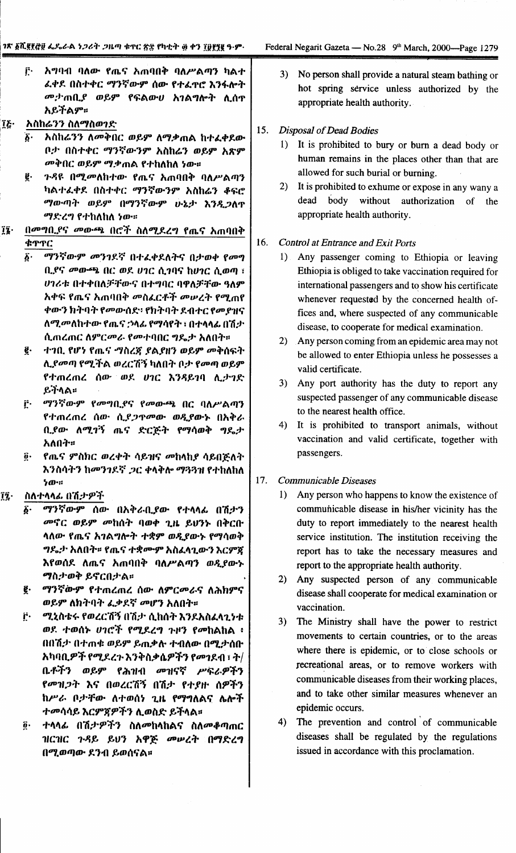f٠. አማባብ ባለው የጤና አጠባበቅ ባለሥልጣን ካልተ ፈቀደ በስተቀር ማንኛውም ሰው የተፈዋሮ እንፋሎት *መታ* ጠቢያ ወይም የፍልውሀ አገልግሎት ሲሰዋ አይችልም።

### አስከሬንን ስለማስወገድ Ĩξ·

- አስከሬንን ለመቅበር ወይም ለማቃጠል ከተፈቀደው ች• ቦታ በስተቀር ማንኛውንም አስከሬን ወይም አጽም መቅበር ወይም ሚቃጠል የተከለከለ ነው።
- *ጉዳ*ዩ በሚመለከተው የጤና አጠባበቅ ባለሥልጣን ę. ካልተፈቀደ በስተቀር ማንኛውንም አስከሬን ቆፍሮ ማውጣት ወይም በማንኛውም ሁኔታ እንዲጋለጥ ማድረግ የተከለከለ ነው።
- $\mathbf{a}$ በመግቢያና መውጫ በሮች ስለሚደረግ የጤና አጠባበቅ ቁዋዋር
	- ማንኛውም መንገደኛ በተፈቀደለትና በታወቀ የመግ  $\boldsymbol{\delta}$ . ቢያና መውጫ በር ወደ ሀገር ሲገባና ከሀገር ሲወጣ ፣ ሀገሪቱ በተቀበለቻቸውና በተግባር ባዋለቻቸው ዓለም አቀፍ የጤና አጠባበቅ መስፌርቶች መሠረት የሚጠየ ቀውን ክትባት የመውሰድ፡ የክትባት ደብተር የመያዝና ለሚመለከተው የጤና ኃላፊ የማሳየት ፣ በተላላፊ በሽታ ሲጠረጠር ስምርመራ የመተባበር ግዴታ አለበት።
	- ą. ተገበ. የሆነ የጤና ማስረጃ ያልያዘን ወይም መቅሰፍት ሊያመጣ የሚችል ወረርሽኝ ካለበት ቦታ የመጣ ወይም የተጠረጠረ ሰው ወደ ሀገር እንዳይገባ ሊታገድ ይችላል።
	- ማንኛውም የመግቢያና የመውጫ በር ባለሥልጣን ŕ٠ የተጠረጠረ ሰው ሲያጋዋመው ወዲየውኑ በአቅራ ቢያው ለሚገኝ ጤና ድርጅት የማሳወቅ ግዴታ አለበት።
	- የጤና ምስክር ወረቀት ሳይዝና መከላከያ ሳይበጅለት  $\ddot{\bm{\theta}}$ . እንስሳትን ከመንገዶኛ *ጋ*ር ቀላቅሎ ማጓጓዝ የተከለከለ  $5m$

#### ĩź. ስለተላላፊ በሽታዎች

- ማንኛውም ሰው በአቅራቢያው የተላላፊ በሽታን δ. መኖር ወይም መከሰት ባወቀ ጊዜ ይህንኑ በቅርቡ ሳለው የጤና አገልግሎት ተቋም ወዲያውኑ የማሳወቅ ግዴታ አለበት። የጤና ተቋሙም አስፈላጊውን እርምጀ እየወሰደ ለጤና አጠባበቅ ባለሥልጣን ወዲያውኑ ማስታወቅ ይኖርበታል።
- ማንኛውም የተጠረጠረ ሰው ለምርመራና ለሕክምና g. ወይም ለክትባት ፌቃደኛ መሆን አለበት።
- i٠, ሚኒስቴሩ የወረርሽኝ በሽታ ሲከሰት እንደአስፈላጊነቱ ወደ ተወሰኑ ሀገሮች የሚደረግ ጉዞን የመከልከል ፡ በበሽታ በተጠቁ ወይም ይጠቃሉ ተብለው በሚታሰቡ አካባቢዎች የሚደረጉ እንቅስቃሴዎችን የመገደብ ፣ ት/ ቤቶችን ወይም የሕዝብ መዝናኛ ሥፍራዎችን የመዝጋት እና በወረርሽኝ በሽታ የተያዙ ሰዎችን ከሥራ ቦታቸው ለተወሰነ ጊዜ የማግለልና ሌሎች *ተመ*ሳሳይ እርምጃዎችን ሊወስድ ይችላል፡፡
- ተላላፊ በሽታዎችን ስለመከላከልና ስለመቆጣጠር ğ. ዝርዝር ጉዳይ ይህን አዋጅ መሥረት በማድረግ በሚወጣው ደንብ ይወሰናል።

3) No person shall provide a natural steam bathing or hot spring service unless authorized by the appropriate health authority.

#### 15. **Disposal of Dead Bodies**

- 1) It is prohibited to bury or burn a dead body or human remains in the places other than that are allowed for such burial or burning.
- 2) It is prohibited to exhume or expose in any wany a dead body without authorization of the appropriate health authority.

#### 16. **Control at Entrance and Exit Ports**

- 1) Any passenger coming to Ethiopia or leaving Ethiopia is obliged to take vaccination required for international passengers and to show his certificate whenever requested by the concerned health offices and, where suspected of any communicable disease, to cooperate for medical examination.
- 2) Any person coming from an epidemic area may not be allowed to enter Ethiopia unless he possesses a valid certificate.
- 3) Any port authority has the duty to report any suspected passenger of any communicable disease to the nearest health office.
- 4) It is prohibited to transport animals, without vaccination and valid certificate, together with passengers.

#### 17. **Communicable Diseases**

- $1)$ Any person who happens to know the existence of communicable disease in his/her vicinity has the duty to report immediately to the nearest health service institution. The institution receiving the report has to take the necessary measures and report to the appropriate health authority.
- 2) Any suspected person of any communicable disease shall cooperate for medical examination or vaccination.
- 3) The Ministry shall have the power to restrict movements to certain countries, or to the areas where there is epidemic, or to close schools or recreational areas, or to remove workers with communicable diseases from their working places, and to take other similar measures whenever an epidemic occurs.
- The prevention and control of communicable 4) diseases shall be regulated by the regulations issued in accordance with this proclamation.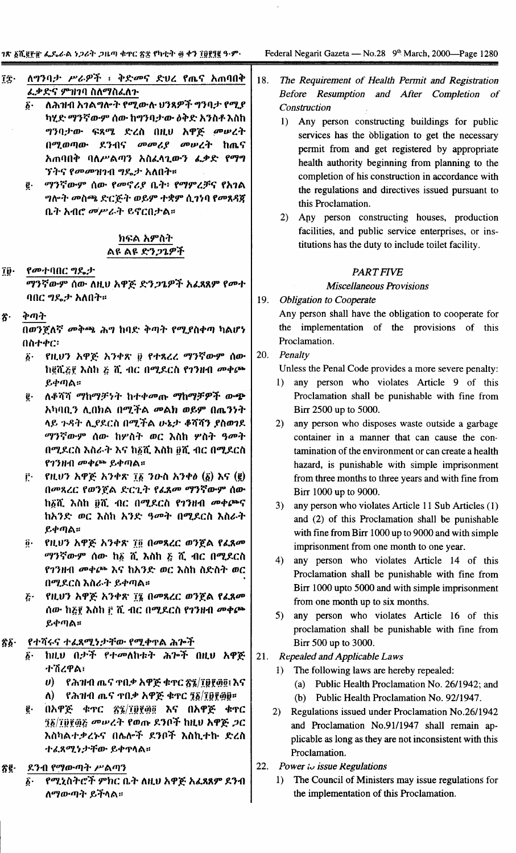- ለማንባታ ሥራዎች ፣ ቅድመና ድህረ የጤና አጠባበቅ ĩÎ. ፌቃድና ምዝገባ ስለማስፌለጉ
	- ለሕዝብ አገልግሎት የሚውሉ ህንጻዎች ግንባታ የሚያ ភ. ካሂድ ማንኛውም ሰው ከማንባታው ዕቅድ አንስቶ እስከ ግንባታው ፍጻሜ ድረስ በዚህ አዋጅ መሠረት በሚወጣው ደንብና መመሪያ መሠረት ከጨና አጠባበቅ ባለሥልጣን አስፈላጊውን ፌቃድ የማግ *ኘትና የመመዝገ*ብ ግዴታ አለበት።
	- ማንኛውም ሰው የመኖሪያ ቤት፥ የማምረቻና የአገል ą. ግሎት መስጫ ድርጅት ወይም ተቋም ሲገነባ የመጸዳጀ ቤት አብሮ መሥራት ይኖርበታል።

### ክፍል አምስት ልዩ ልዩ ድንጋጌዎች

Îÿ∙ የመተባበር ግዴታ

> ማንኛውም ሰው ለዚህ አዋጅ ድንጋጌዎች አፈጻጸም የመተ ባበር ግዴታ አለበት።

ቅጣት ፳٠

> በወንጀለኛ መቅጫ ሕግ ከባድ ቅጣት የሚያስቀጣ ካልሆነ በስተቀር፡

- የዚህን አዋጅ አንቀጽ ፱ የተጻረረ ማንኛውም ሰው  $\boldsymbol{\delta}$ . ከ፪ሺ፩፻ እስከ ፩ ሺ ብር በሚደርስ የንንዘብ መቀጮ ይቀጣል።
- ለቆሻሻ ማከማቻነት ከተቀመጡ ማከማቻዎች ውጭ ĝ. አካባቢን ሊበክል በሚችል መልክ ወይም በጤንነት ላይ ጉዳት ሊያደርስ በሚችል ሁኔታ ቆሻሻን ያስወንደ ማንኛውም ሰው ከሦስት ወር እስከ ሦስት ዓመት በሚደርስ እስራት እና ከ፩ሺ እስከ ፱ሺ ብር በሚደርስ የገንዘብ መቀጮ ይቀጣል።
- የዚህን አዋጅ አንቀጽ ፲፩ ንውስ አንቀፅ  $(\tilde{g})$  እና  $(\tilde{g})$ ŕ٠ በመጻረር የወንጀል ድርጊት የፈጸመ ማንኛውም ሰው ከ፩ሺ እስከ ፬ሺ ብር በሚደርስ የገንዘብ መቀጮና ከአንድ ወር እስከ አንድ ዓመት በሚደርስ እስራት ይቀጣል።
- የዚህን አዋጅ አንቀጽ ፲፬ በመጻረር ወንጀል የፈጸመ  $\boldsymbol{\hat{o}}\cdot$ ማንኛውም ሰው ከ፩ ሺ እስከ ፩ ሺ ብር በሚደርስ የገንዘብ መቀጮ እና ከአንድ ወር እስከ ስድስት ወር በሚደርስ እስራት ይቀጣል።
- የዚህን አዋጅ አንቀጽ ፲፯ በመጻረር ወንጀል የፈጸመ  $\boldsymbol{\tilde{c}}$  . ሰው ከ፩፻ እስከ ፫ ሺ ብር በሚደርስ የገንዘብ መቀጮ ይቀጣል።
- የተሻሩና ተፈጸሚነታቸው የሚቀዋል ሕጕች ፳፩∙
	- ከዚህ በታች የተመለከቱት ሕጕች በዚህ አዋጅ δ. ተሽረዋል፣
		- የሕዝብ ጤና ተበቃ አዋጅ ቁተር ፳፯/፲፱፻፴፬፤ እና  $\boldsymbol{\theta}$
		- ለ) የሕዝብ ጤና ተበቃ አዋጅ ቁተር ፺፩/፲፱፻፴፱።
	- በአዋጅ ቁጥር ፳፯/፲፱፻፴፬ እና በአዋጅ ቁጥር ĝ. ፺፩/፲፬፻፴፩ መሠረት የወጡ ደንቦች ከዚህ አዋጅ *ጋ*ር እስካልተቃረኑና በሌሎች ደንቦች እስኪተኩ ድረስ ተፈጸሚነታቸው ይቀጥላል።
- ደንብ የማውጣት ሥልጣን ፳፪∙
	- የሚኒስትሮች ምክር ቤት ለዚህ አዋጅ አፈጻጸም ደንብ ለማውጣት ይችላል።
- Federal Negarit Gazeta No.28 9<sup>th</sup> March, 2000—Page 1280
- 18. The Requirement of Health Permit and Registration Before Resumption and After Completion of Construction
	- 1) Any person constructing buildings for public services has the obligation to get the necessary permit from and get registered by appropriate health authority beginning from planning to the completion of his construction in accordance with the regulations and directives issued pursuant to this Proclamation.
	- 2) Any person constructing houses, production facilities, and public service enterprises, or institutions has the duty to include toilet facility.

### **PART FIVE**

### **Miscellaneous Provisions**

19. **Obligation to Cooperate** 

> Any person shall have the obligation to cooperate for the implementation of the provisions of this Proclamation.

### 20. Penalty

Unless the Penal Code provides a more severe penalty:

- $1)$ any person who violates Article 9 of this Proclamation shall be punishable with fine from Birr 2500 up to 5000.
- $2)$ any person who disposes waste outside a garbage container in a manner that can cause the contamination of the environment or can create a health hazard, is punishable with simple imprisonment from three months to three years and with fine from Birr 1000 up to 9000.
- 3) any person who violates Article 11 Sub Articles (1) and (2) of this Proclamation shall be punishable with fine from Birr 1000 up to 9000 and with simple imprisonment from one month to one year.
- $4)$ any person who violates Article 14 of this Proclamation shall be punishable with fine from Birr 1000 upto 5000 and with simple imprisonment from one month up to six months.
- any person who violates Article 16 of this  $5)$ proclamation shall be punishable with fine from Birr 500 up to 3000.
- 21. Repealed and Applicable Laws
	- $1)$ The following laws are hereby repealed:
		- (a) Public Health Proclamation No. 26/1942; and (b) Public Health Proclamation No. 92/1947.
	- 2) Regulations issued under Proclamation No.26/1942 and Proclamation No.91/1947 shall remain applicable as long as they are not inconsistent with this Proclamation.
- $22.$ Power to issue Regulations
	- The Council of Ministers may issue regulations for  $1)$ the implementation of this Proclamation.